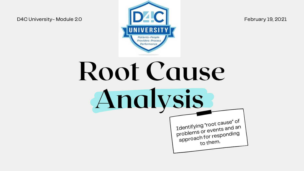

# Root Cause Analysis

Identifying "root cause" of problems or events and an approac<sup>h</sup> for responding to them.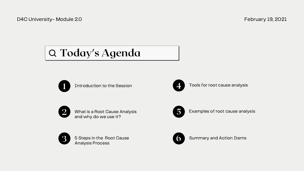What is a Root Cause Analysis and why do we use it?



5 Examples of root cause analysis

Summary and Action Items



Introduction to the Session



3 <sup>5</sup> Steps in the Root Cause Analysis Process







Tools for root cause analysis

D4C University- Module 2.0 February 19, 2021

# Today's Agenda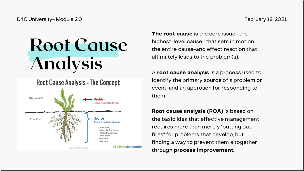# Root Cause Analysis

## **Root Cause Analysis - The Concept**



The root cause is the core issue- the highest-level cause- that sets in motion the entire cause-and effect reaction that ultimately leads to the problem(s).

A root cause analysis is a process used to identify the primary source of a problem or event, and an approach for responding to

# them.

Root cause analysis (RCA) is based on the basic idea that effective management requires more than merely "putting out fires" for problems that develop, but finding a way to prevent them altogether through process improvement.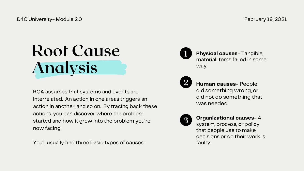# Root Cause Analysis

Human causes- People did something wrong, or did not do something that was needed.

3

Organizational causes- A

Physical causes- Tangible, material items failed in some way.

system, process, or policy that people use to make decisions or do their work is faulty.

RCA assumes that systems and events are interrelated. An action in one areas triggers an action in another, and so on. By tracing back these actions, you can discover where the problem started and how it grew into the problem you're now facing.

You'll usually find three basic types of causes: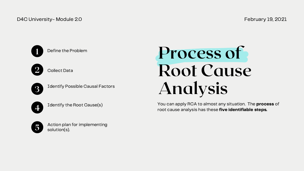# Process of Root Cause Analysis



Identify Possible Causal Factors

## D4C University- Module 2.0 February 19, 2021



Define the Problem



**Collect Data** 

4

Identify the Root Cause(s)

You can apply RCA to almost any situation. The process of root cause analysis has these five identifiable steps.



Action plan for implementing solution(s).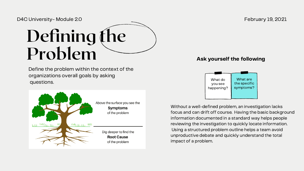



## February 19, 2021

## Ask yourself the following

Define the problem within the context of the organizations overall goals by asking questions.



Without a well-defined problem, an investigation lacks focus and can drift off course. Having the basic background information documented in a standard way helps people reviewing the investigation to quickly locate information. Using a structured problem outline helps a team avoid unproductive debate and quickly understand the total impact of a problem.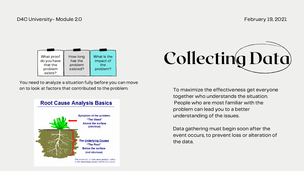

| What proof<br>do you have<br>that the<br>problem<br>exists? | How long<br>has the<br>problem<br>existed? | What is the<br>impact of<br>the<br>problem? |
|-------------------------------------------------------------|--------------------------------------------|---------------------------------------------|

To maximize the effectiveness get everyone together who understands the situation. People who are most familiar with the problem can lead you to a better understanding of the issues.

Data gathering must begin soon after the event occurs, to prevent loss or alteration of the data.

You need to analyze a situation fully before you can move on to look at factors that contributed to the problem.

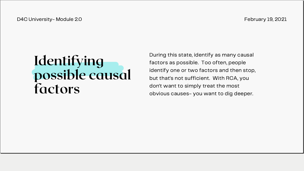# Identifying possible causal factors

During this state, identify as many causal factors as possible. Too often, people identify one or two factors and then stop, but that's not sufficient. With RCA, you don't want to simply treat the most obvious causes- you want to dig deeper.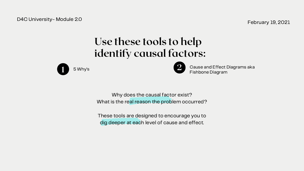## Use these tools to help identify causal factors:





Why does the causal factor exist? What is the real reason the problem occurred?

5 Why's **2 Cause and Effect Diagrams aka** Fishbone Diagram

February 19, 2021

D4C University- Module 2.0

These tools are designed to encourage you to dig deeper at each level of cause and effect.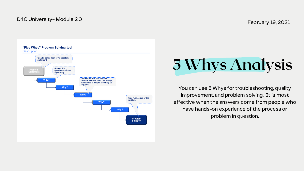February 19, 2021

## D4C University- Module 2.0





# 5 Whys Analysis

You can use 5 Whys for troubleshooting, quality improvement, and problem solving. It is most effective when the answers come from people who have hands-on experience of the process or problem in question.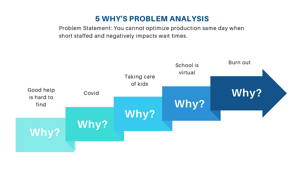



Problem Statement: You cannot optimize production same day when short staffed and negatively impacts wait times.

## 5 WHY'S PROBLEM ANALYSIS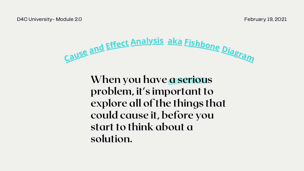# Cause and Effect Analysis aka Fishbone Diagram

When you have a serious problem, it's important to explore all of the things that could cause it, before you start to think about a solution.

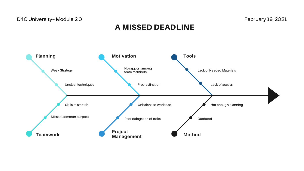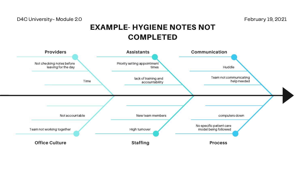

# COMPLETED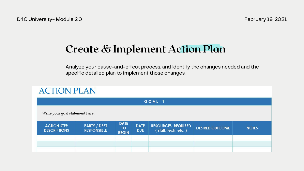## Create & Implement Action Plan

Analyze your cause-and-effect process, and identify the changes needed and the specific detailed plan to implement those changes.

| <b>ACTION PLAN</b>                        |                                           |                                          |                           |                                                  |                        |              |  |  |
|-------------------------------------------|-------------------------------------------|------------------------------------------|---------------------------|--------------------------------------------------|------------------------|--------------|--|--|
| GOAL 1                                    |                                           |                                          |                           |                                                  |                        |              |  |  |
| Write your goal statement here.           |                                           |                                          |                           |                                                  |                        |              |  |  |
| <b>ACTION STEP</b><br><b>DESCRIPTIONS</b> | <b>PARTY / DEPT</b><br><b>RESPONSIBLE</b> | <b>DATE</b><br><b>TO</b><br><b>BEGIN</b> | <b>DATE</b><br><b>DUE</b> | <b>RESOURCES REQUIRED</b><br>(staff, tech, etc.) | <b>DESIRED OUTCOME</b> | <b>NOTES</b> |  |  |
|                                           |                                           |                                          |                           |                                                  |                        |              |  |  |
|                                           |                                           |                                          |                           |                                                  |                        |              |  |  |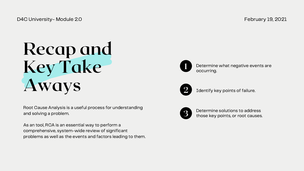# Recap and Key Take Aways <sup>2</sup> Identify key points of failure.



Determine solutions to address those key points, or root causes.

1

Determine what negative events are occurring.



Root Cause Analysis is a useful process for understanding and solving a problem.

As an tool, RCA is an essential way to perform a comprehensive, system-wide review of significant problems as well as the events and factors leading to them.